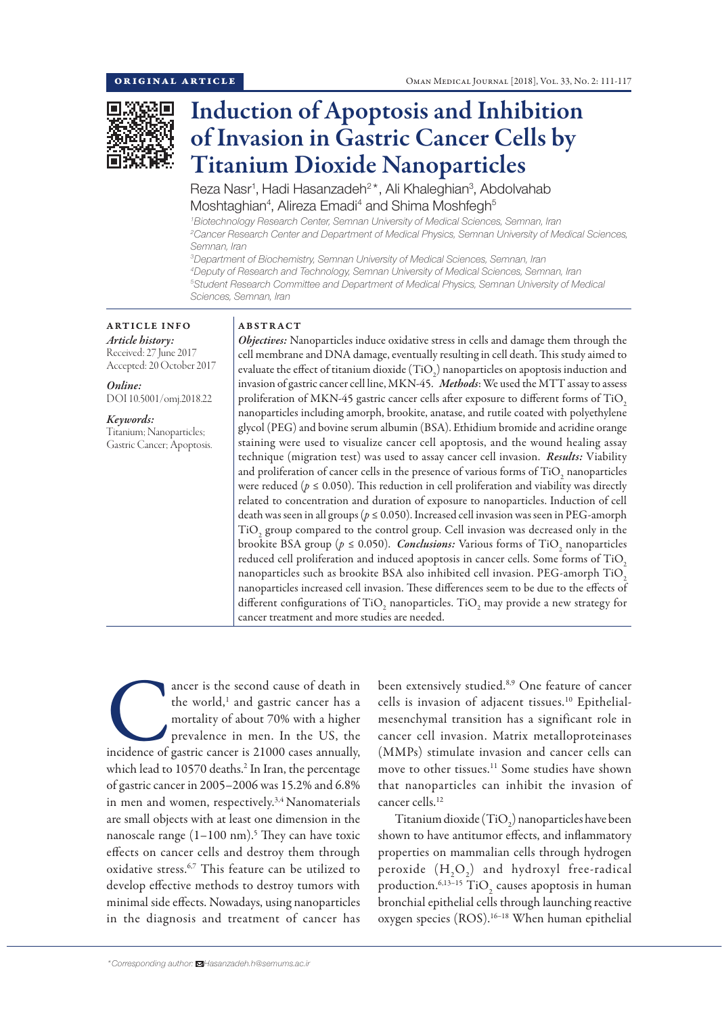

# Induction of Apoptosis and Inhibition of Invasion in Gastric Cancer Cells by Titanium Dioxide Nanoparticles

Reza Nasr<sup>1</sup>, Hadi Hasanzadeh<sup>2\*</sup>, Ali Khaleghian<sup>3</sup>, Abdolvahab Moshtaghian<sup>4</sup>, Alireza Emadi<sup>4</sup> and Shima Moshfegh<sup>5</sup>

*1 Biotechnology Research Center, Semnan University of Medical Sciences, Semnan, Iran 2 Cancer Research Center and Department of Medical Physics, Semnan University of Medical Sciences, Semnan, Iran*

 *Department of Biochemistry, Semnan University of Medical Sciences, Semnan, Iran Deputy of Research and Technology, Semnan University of Medical Sciences, Semnan, Iran Student Research Committee and Department of Medical Physics, Semnan University of Medical Sciences, Semnan, Iran*

ARTICLE INFO *Article history:* Received: 27 June 2017 Accepted: 20 October 2017

*Online:* DOI 10.5001/omj.2018.22

*Keywords:*  Titanium; Nanoparticles; Gastric Cancer; Apoptosis.

# ABSTRACT

*Objectives:* Nanoparticles induce oxidative stress in cells and damage them through the cell membrane and DNA damage, eventually resulting in cell death. This study aimed to evaluate the effect of titanium dioxide  $\rm (TiO_2)$  nanoparticles on apoptosis induction and invasion of gastric cancer cell line, MKN-45. *Methods*: We used the MTT assay to assess proliferation of MKN-45 gastric cancer cells after exposure to different forms of TiO, nanoparticles including amorph, brookite, anatase, and rutile coated with polyethylene glycol (PEG) and bovine serum albumin (BSA). Ethidium bromide and acridine orange staining were used to visualize cancer cell apoptosis, and the wound healing assay technique (migration test) was used to assay cancer cell invasion. *Results:* Viability and proliferation of cancer cells in the presence of various forms of  $\mathrm{TiO}_2$  nanoparticles were reduced ( $p \leq 0.050$ ). This reduction in cell proliferation and viability was directly related to concentration and duration of exposure to nanoparticles. Induction of cell death was seen in all groups (*p* ≤ 0.050). Increased cell invasion was seen in PEG-amorph  $\rm TiO_2$  group compared to the control group. Cell invasion was decreased only in the brookite BSA group (*p* ≤ 0.050). *Conclusions:* Various forms of TiO<sub>2</sub> nanoparticles reduced cell proliferation and induced apoptosis in cancer cells. Some forms of TiO2 nanoparticles such as brookite BSA also inhibited cell invasion. PEG-amorph TiO, nanoparticles increased cell invasion. These differences seem to be due to the effects of different configurations of  $\rm TiO_2$  nanoparticles.  $\rm TiO_2$  may provide a new strategy for cancer treatment and more studies are needed.

ancer is the second cause of death in the world,<sup>1</sup> and gastric cancer has a mortality of about 70% with a higher prevalence in men. In the US, the incidence of gastric cancer is 21000 cases annually, the world,<sup>1</sup> and gastric cancer has a mortality of about 70% with a higher prevalence in men. In the US, the which lead to 10570 deaths.2 In Iran, the percentage of gastric cancer in 2005–2006 was 15.2% and 6.8% in men and women, respectively.<sup>3,4</sup> Nanomaterials are small objects with at least one dimension in the nanoscale range  $(1-100 \text{ nm})$ .<sup>5</sup> They can have toxic effects on cancer cells and destroy them through oxidative stress.6,7 This feature can be utilized to develop effective methods to destroy tumors with minimal side effects. Nowadays, using nanoparticles in the diagnosis and treatment of cancer has

been extensively studied.<sup>8,9</sup> One feature of cancer cells is invasion of adjacent tissues.10 Epithelialmesenchymal transition has a significant role in cancer cell invasion. Matrix metalloproteinases (MMPs) stimulate invasion and cancer cells can move to other tissues.11 Some studies have shown that nanoparticles can inhibit the invasion of cancer cells.12

Titanium dioxide (TiO<sub>2</sub>) nanoparticles have been shown to have antitumor effects, and inflammatory properties on mammalian cells through hydrogen peroxide  $(H_2O_2)$  and hydroxyl free-radical production. $6,13-15$  TiO<sub>2</sub> causes apoptosis in human bronchial epithelial cells through launching reactive oxygen species (ROS).<sup>16-18</sup> When human epithelial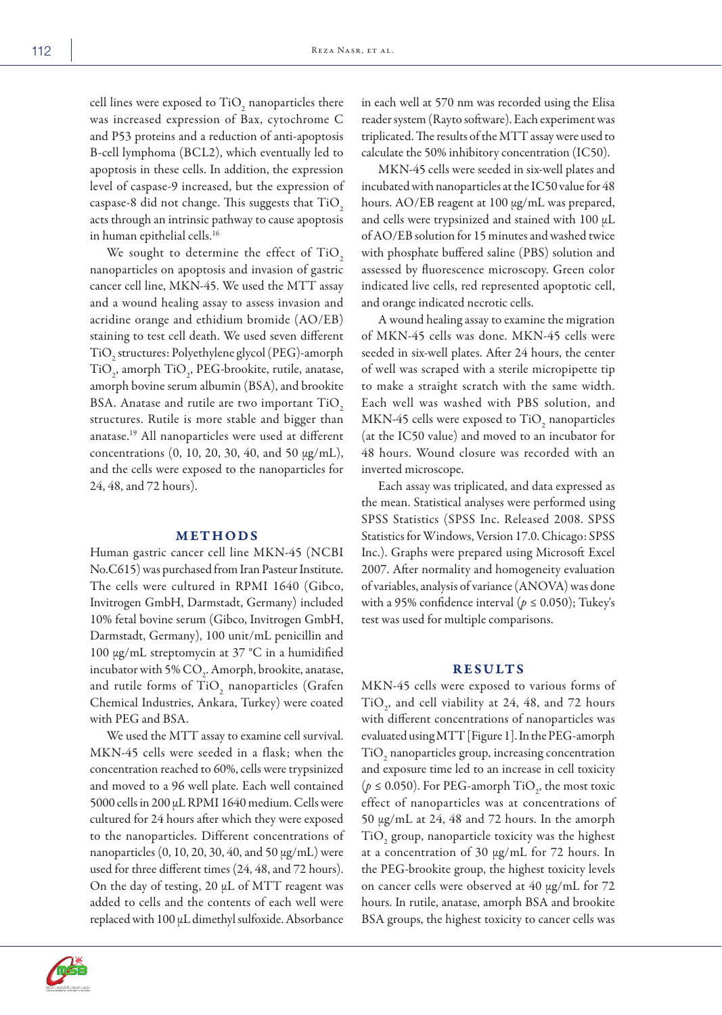cell lines were exposed to  $\rm TiO_2$  nanoparticles there was increased expression of Bax, cytochrome C and P53 proteins and a reduction of anti-apoptosis B-cell lymphoma (BCL2), which eventually led to apoptosis in these cells. In addition, the expression level of caspase-9 increased, but the expression of caspase-8 did not change. This suggests that TiO2 acts through an intrinsic pathway to cause apoptosis in human epithelial cells.16

We sought to determine the effect of TiO2 nanoparticles on apoptosis and invasion of gastric cancer cell line, MKN-45. We used the MTT assay and a wound healing assay to assess invasion and acridine orange and ethidium bromide (AO/EB) staining to test cell death. We used seven different TiO2 structures: Polyethylene glycol (PEG)-amorph  $TiO<sub>2</sub>$ , amorph  $TiO<sub>2</sub>$ , PEG-brookite, rutile, anatase, amorph bovine serum albumin (BSA), and brookite BSA. Anatase and rutile are two important TiO2 structures. Rutile is more stable and bigger than anatase.19 All nanoparticles were used at different concentrations (0, 10, 20, 30, 40, and 50 μg/mL), and the cells were exposed to the nanoparticles for 24, 48, and 72 hours).

## METHODS

Human gastric cancer cell line MKN-45 (NCBI No.C615) was purchased from Iran Pasteur Institute. The cells were cultured in RPMI 1640 (Gibco, Invitrogen GmbH, Darmstadt, Germany) included 10% fetal bovine serum (Gibco, Invitrogen GmbH, Darmstadt, Germany), 100 unit/mL penicillin and 100 μg/mL streptomycin at 37 °C in a humidified incubator with 5%  $\mathrm{CO}_2$ . Amorph, brookite, anatase, and rutile forms of  $\text{TiO}_2$  nanoparticles (Grafen Chemical Industries, Ankara, Turkey) were coated with PEG and BSA.

We used the MTT assay to examine cell survival. MKN-45 cells were seeded in a flask; when the concentration reached to 60%, cells were trypsinized and moved to a 96 well plate. Each well contained 5000 cells in 200 µL RPMI 1640 medium. Cells were cultured for 24 hours after which they were exposed to the nanoparticles. Different concentrations of nanoparticles (0, 10, 20, 30, 40, and 50 μg/mL) were used for three different times (24, 48, and 72 hours). On the day of testing, 20 μL of MTT reagent was added to cells and the contents of each well were replaced with 100 μL dimethyl sulfoxide. Absorbance



in each well at 570 nm was recorded using the Elisa reader system (Rayto software). Each experiment was triplicated. The results of the MTT assay were used to calculate the 50% inhibitory concentration (IC50).

MKN-45 cells were seeded in six-well plates and incubated with nanoparticles at the IC50 value for 48 hours. AO/EB reagent at 100 μg/mL was prepared, and cells were trypsinized and stained with 100 μL of AO/EB solution for 15 minutes and washed twice with phosphate buffered saline (PBS) solution and assessed by fluorescence microscopy. Green color indicated live cells, red represented apoptotic cell, and orange indicated necrotic cells.

A wound healing assay to examine the migration of MKN-45 cells was done. MKN-45 cells were seeded in six-well plates. After 24 hours, the center of well was scraped with a sterile micropipette tip to make a straight scratch with the same width. Each well was washed with PBS solution, and MKN-45 cells were exposed to  $TiO_2$  nanoparticles (at the IC50 value) and moved to an incubator for 48 hours. Wound closure was recorded with an inverted microscope.

Each assay was triplicated, and data expressed as the mean. Statistical analyses were performed using SPSS Statistics (SPSS Inc. Released 2008. SPSS Statistics for Windows, Version 17.0. Chicago: SPSS Inc.). Graphs were prepared using Microsoft Excel 2007. After normality and homogeneity evaluation of variables, analysis of variance (ANOVA) was done with a 95% confidence interval ( $p \le 0.050$ ); Tukey's test was used for multiple comparisons.

## RESULTS

MKN-45 cells were exposed to various forms of  $TiO<sub>2</sub>$ , and cell viability at 24, 48, and 72 hours with different concentrations of nanoparticles was evaluated using MTT [Figure 1]. In the PEG-amorph  $\rm TiO_2$  nanoparticles group, increasing concentration and exposure time led to an increase in cell toxicity ( $p \le 0.050$ ). For PEG-amorph TiO<sub>2</sub>, the most toxic effect of nanoparticles was at concentrations of 50 μg/mL at 24, 48 and 72 hours. In the amorph  $\rm TiO_2$  group, nanoparticle toxicity was the highest at a concentration of 30 μg/mL for 72 hours. In the PEG-brookite group, the highest toxicity levels on cancer cells were observed at 40 μg/mL for 72 hours. In rutile, anatase, amorph BSA and brookite BSA groups, the highest toxicity to cancer cells was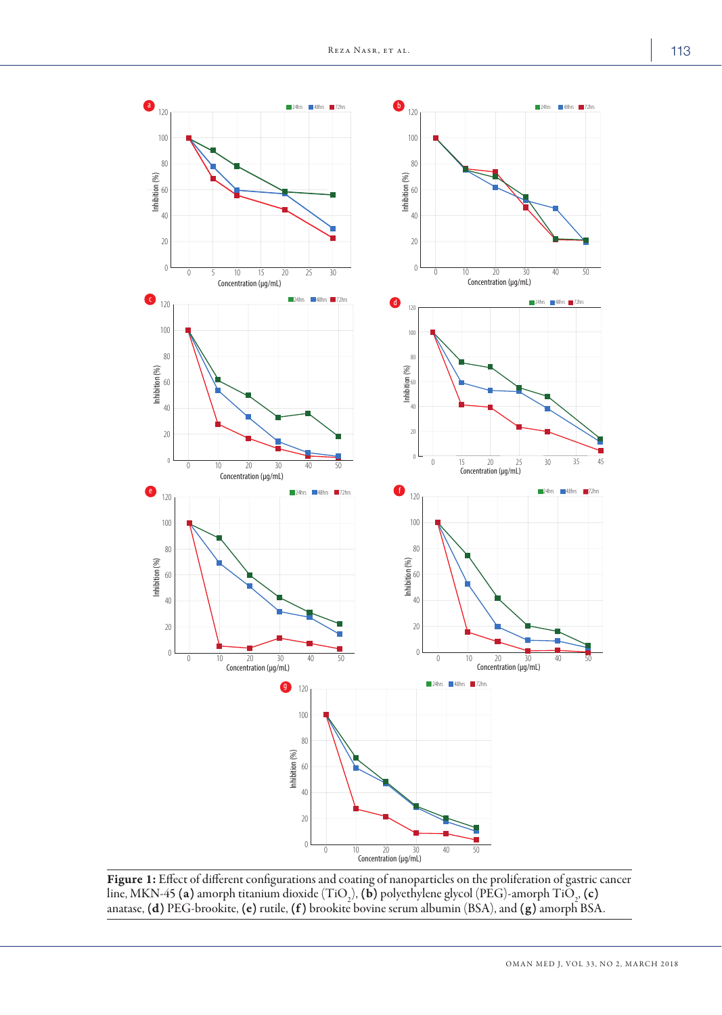

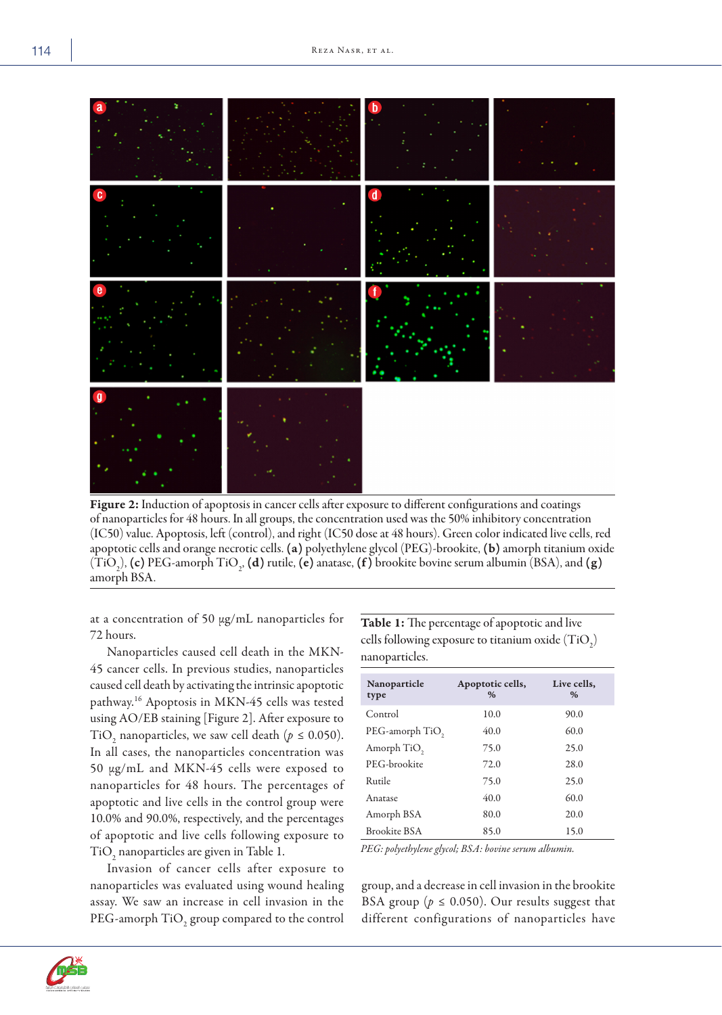

Figure 2: Induction of apoptosis in cancer cells after exposure to different configurations and coatings of nanoparticles for 48 hours. In all groups, the concentration used was the 50% inhibitory concentration (IC50) value. Apoptosis, left (control), and right (IC50 dose at 48 hours). Green color indicated live cells, red apoptotic cells and orange necrotic cells. (a) polyethylene glycol (PEG)-brookite, (b) amorph titanium oxide  $(TiO<sub>2</sub>)$ , (c) PEG-amorph TiO<sub>2</sub>, (d) rutile, (e) anatase, (f) brookite bovine serum albumin (BSA), and (g) amorph BSA.

at a concentration of 50 μg/mL nanoparticles for 72 hours.

Nanoparticles caused cell death in the MKN-45 cancer cells. In previous studies, nanoparticles caused cell death by activating the intrinsic apoptotic pathway.16 Apoptosis in MKN-45 cells was tested using AO/EB staining [Figure 2]. After exposure to TiO<sub>2</sub> nanoparticles, we saw cell death ( $p \le 0.050$ ). In all cases, the nanoparticles concentration was 50 μg/mL and MKN-45 cells were exposed to nanoparticles for 48 hours. The percentages of apoptotic and live cells in the control group were 10.0% and 90.0%, respectively, and the percentages of apoptotic and live cells following exposure to  $TiO_2$  nanoparticles are given in Table 1.

Invasion of cancer cells after exposure to nanoparticles was evaluated using wound healing assay. We saw an increase in cell invasion in the PEG-amorph  $\rm TiO_2$  group compared to the control Table 1: The percentage of apoptotic and live cells following exposure to titanium oxide  $(TiO_2)$ nanoparticles.

| Nanoparticle<br>type    | Apoptotic cells,<br>$\%$ | Live cells,<br>$\%$ |
|-------------------------|--------------------------|---------------------|
| Control                 | 10.0                     | 90.0                |
| PEG-amorph TiO,         | 40.0                     | 60.0                |
| Amorph TiO <sub>2</sub> | 75.0                     | 25.0                |
| PEG-brookite            | 72.0                     | 28.0                |
| Rutile                  | 75.0                     | 25.0                |
| Anatase                 | 40.0                     | 60.0                |
| Amorph BSA              | 80.0                     | 20.0                |
| <b>Brookite BSA</b>     | 85.0                     | 15.0                |
|                         |                          |                     |

*PEG: polyethylene glycol; BSA: bovine serum albumin.*

group, and a decrease in cell invasion in the brookite BSA group ( $p \leq 0.050$ ). Our results suggest that different configurations of nanoparticles have

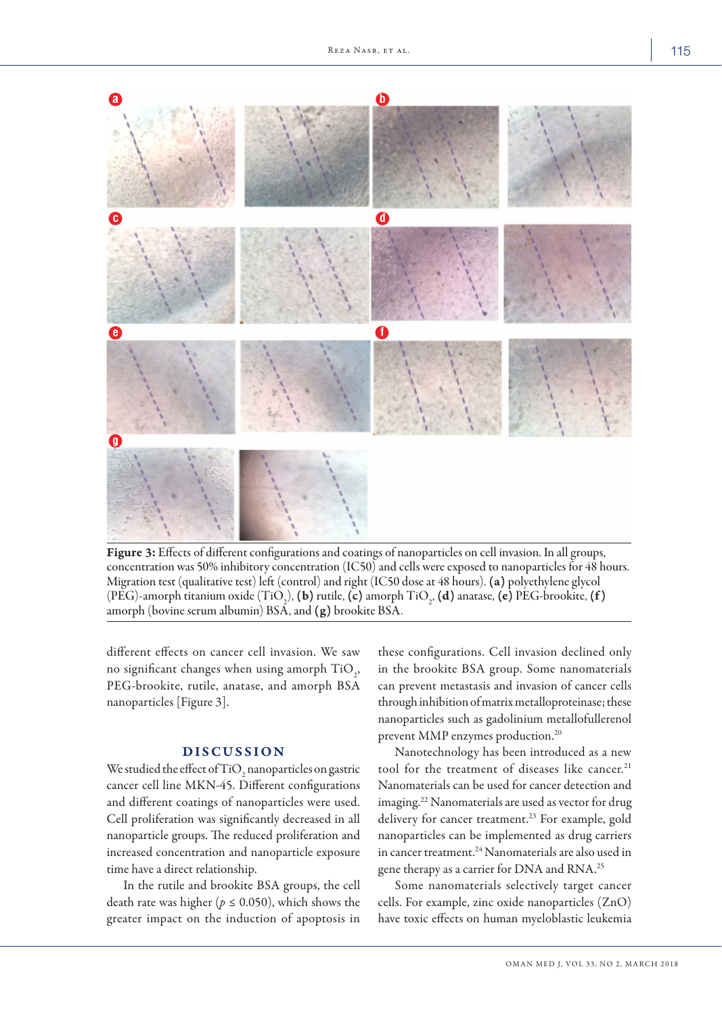

Figure 3: Effects of different configurations and coatings of nanoparticles on cell invasion. In all groups, concentration was 50% inhibitory concentration (IC50) and cells were exposed to nanoparticles for 48 hours. Migration test (qualitative test) left (control) and right (IC50 dose at 48 hours). (a) polyethylene glycol (PEG)-amorph titanium oxide (TiO<sub>2</sub>), **(b)** rutile, **(c)** amorph TiO<sub>2</sub>, **(d)** anatase, **(e)** PEG-brookite, **(f)** amorph (bovine serum albumin) BSA, and (g) brookite BSA.

different effects on cancer cell invasion. We saw no significant changes when using amorph  $\text{TiO}_2$ , PEG-brookite, rutile, anatase, and amorph BSA nanoparticles [Figure 3].

## DISCUSSION

We studied the effect of TiO<sub>2</sub> nanoparticles on gastric cancer cell line MKN-45. Different configurations and different coatings of nanoparticles were used. Cell proliferation was significantly decreased in all nanoparticle groups. The reduced proliferation and increased concentration and nanoparticle exposure time have a direct relationship.

In the rutile and brookite BSA groups, the cell death rate was higher ( $p \leq 0.050$ ), which shows the greater impact on the induction of apoptosis in these configurations. Cell invasion declined only in the brookite BSA group. Some nanomaterials can prevent metastasis and invasion of cancer cells through inhibition of matrix metalloproteinase; these nanoparticles such as gadolinium metallofullerenol prevent MMP enzymes production.20

Nanotechnology has been introduced as a new tool for the treatment of diseases like cancer.<sup>21</sup> Nanomaterials can be used for cancer detection and imaging.22 Nanomaterials are used as vector for drug delivery for cancer treatment.<sup>23</sup> For example, gold nanoparticles can be implemented as drug carriers in cancer treatment.<sup>24</sup> Nanomaterials are also used in gene therapy as a carrier for DNA and RNA.<sup>25</sup>

Some nanomaterials selectively target cancer cells. For example, zinc oxide nanoparticles (ZnO) have toxic effects on human myeloblastic leukemia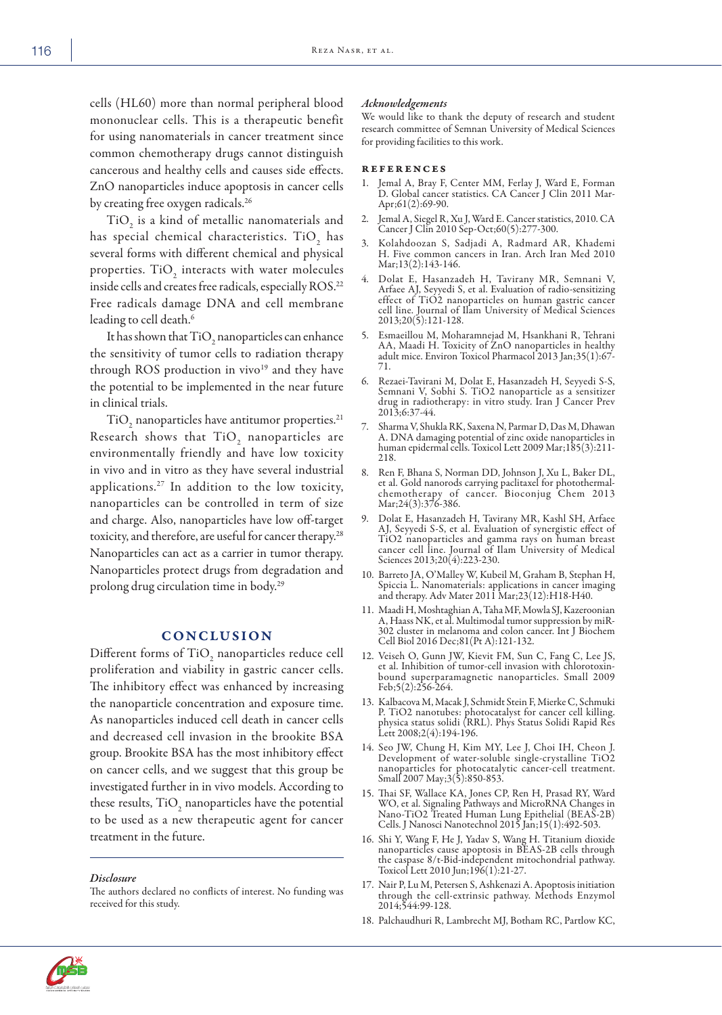cells (HL60) more than normal peripheral blood mononuclear cells. This is a therapeutic benefit for using nanomaterials in cancer treatment since common chemotherapy drugs cannot distinguish cancerous and healthy cells and causes side effects. ZnO nanoparticles induce apoptosis in cancer cells by creating free oxygen radicals.<sup>26</sup>

 $\rm TiO_2$  is a kind of metallic nanomaterials and has special chemical characteristics. Ti $O_{\frac{1}{2}}$  has several forms with different chemical and physical properties.  $\mathrm{TiO}_2$  interacts with water molecules inside cells and creates free radicals, especially ROS.<sup>22</sup> Free radicals damage DNA and cell membrane leading to cell death.<sup>6</sup>

It has shown that  $\rm TiO_2$  nanoparticles can enhance the sensitivity of tumor cells to radiation therapy through ROS production in vivo<sup>19</sup> and they have the potential to be implemented in the near future in clinical trials.

 $\rm TiO_2$  nanoparticles have antitumor properties. $^{21}$ Research shows that  $TiO_2$  nanoparticles are environmentally friendly and have low toxicity in vivo and in vitro as they have several industrial applications.27 In addition to the low toxicity, nanoparticles can be controlled in term of size and charge. Also, nanoparticles have low off-target toxicity, and therefore, are useful for cancer therapy.28 Nanoparticles can act as a carrier in tumor therapy. Nanoparticles protect drugs from degradation and prolong drug circulation time in body.29

## **CONCLUSION**

Different forms of  $\rm TiO_{_2}$  nanoparticles reduce cell proliferation and viability in gastric cancer cells. The inhibitory effect was enhanced by increasing the nanoparticle concentration and exposure time. As nanoparticles induced cell death in cancer cells and decreased cell invasion in the brookite BSA group. Brookite BSA has the most inhibitory effect on cancer cells, and we suggest that this group be investigated further in in vivo models. According to these results,  $\rm TiO_2$  nanoparticles have the potential to be used as a new therapeutic agent for cancer treatment in the future.

#### *Disclosure*

The authors declared no conflicts of interest. No funding was received for this study.

#### *Acknowledgements*

We would like to thank the deputy of research and student research committee of Semnan University of Medical Sciences for providing facilities to this work.

### **REFERENCES**

- 1. Jemal A, Bray F, Center MM, Ferlay J, Ward E, Forman D. Global cancer statistics. CA Cancer J Clin 2011 Mar-Apr;61(2):69-90.
- 2. Jemal A, Siegel R, Xu J, Ward E. Cancer statistics, 2010. CA Cancer J Clin 2010 Sep-Oct;60(5):277-300.
- 3. Kolahdoozan S, Sadjadi A, Radmard AR, Khademi H. Five common cancers in Iran. Arch Iran Med 2010 Mar; 13(2): 143-146.
- 4. Dolat E, Hasanzadeh H, Tavirany MR, Semnani V, Arfaee AJ, Seyyedi S, et al. Evaluation of radio-sensitizing effect of TiO2 nanoparticles on human gastric cancer cell line. Journal of Ilam University of Medical Sciences 2013;20(5):121-128.
- 5. Esmaeillou M, Moharamnejad M, Hsankhani R, Tehrani AA, Maadi H. Toxicity of ZnO nanoparticles in healthy adult mice. Environ Toxicol Pharmacol 2013 Jan;35(1):67- 71.
- 6. Rezaei-Tavirani M, Dolat E, Hasanzadeh H, Seyyedi S-S, Semnani V, Sobhi S. TiO2 nanoparticle as a sensitizer drug in radiotherapy: in vitro study. Iran J Cancer Prev 2013;6:37-44.
- 7. Sharma V, Shukla RK, Saxena N, Parmar D, Das M, Dhawan A. DNA damaging potential of zinc oxide nanoparticles in human epidermal cells. Toxicol Lett 2009 Mar;185(3):211- 218.
- 8. Ren F, Bhana S, Norman DD, Johnson J, Xu L, Baker DL, et al. Gold nanorods carrying paclitaxel for photothermalchemotherapy of cancer. Bioconjug Chem 2013 Mar; 24(3): 376-386.
- 9. Dolat E, Hasanzadeh H, Tavirany MR, Kashl SH, Arfaee AJ, Seyyedi S-S, et al. Evaluation of synergistic effect of TiO2 nanoparticles and gamma rays on human breast cancer cell line. Journal of Ilam University of Medical Sciences 2013;20(4):223-230.
- 10. Barreto JA, O'Malley W, Kubeil M, Graham B, Stephan H, Spiccia L. Nanomaterials: applications in cancer imaging and therapy. Adv Mater 2011 Mar;23(12):H18-H40.
- 11. Maadi H, Moshtaghian A, Taha MF, Mowla SJ, Kazeroonian A, Haass NK, et al. Multimodal tumor suppression by miR-302 cluster in melanoma and colon cancer. Int J Biochem Cell Biol 2016 Dec;81(Pt A):121-132.
- 12. Veiseh O, Gunn JW, Kievit FM, Sun C, Fang C, Lee JS, et al. Inhibition of tumor-cell invasion with chlorotoxinbound superparamagnetic nanoparticles. Small 2009 Feb;5(2):256-264.
- 13. Kalbacova M, Macak J, Schmidt Stein F, Mierke C, Schmuki P. TiO2 nanotubes: photocatalyst for cancer cell killing. physica status solidi (RRL). Phys Status Solidi Rapid Res Lett 2008;2(4):194-196.
- 14. Seo JW, Chung H, Kim MY, Lee J, Choi IH, Cheon J. Development of water-soluble single-crystalline TiO2 nanoparticles for photocatalytic cancer-cell treatment. Small 2007 May;3(5):850-853.
- 15. Thai SF, Wallace KA, Jones CP, Ren H, Prasad RY, Ward WO, et al. Signaling Pathways and MicroRNA Changes in Nano-TiO2 Treated Human Lung Epithelial (BEAS-2B) Cells. J Nanosci Nanotechnol 2015 Jan;15(1):492-503.
- 16. Shi Y, Wang F, He J, Yadav S, Wang H. Titanium dioxide nanoparticles cause apoptosis in BEAS-2B cells through the caspase 8/t-Bid-independent mitochondrial pathway. Toxicol Lett 2010 Jun;196(1):21-27.
- 17. Nair P, Lu M, Petersen S, Ashkenazi A. Apoptosis initiation through the cell-extrinsic pathway. Methods Enzymol 2014;544:99-128.
- 18. Palchaudhuri R, Lambrecht MJ, Botham RC, Partlow KC,